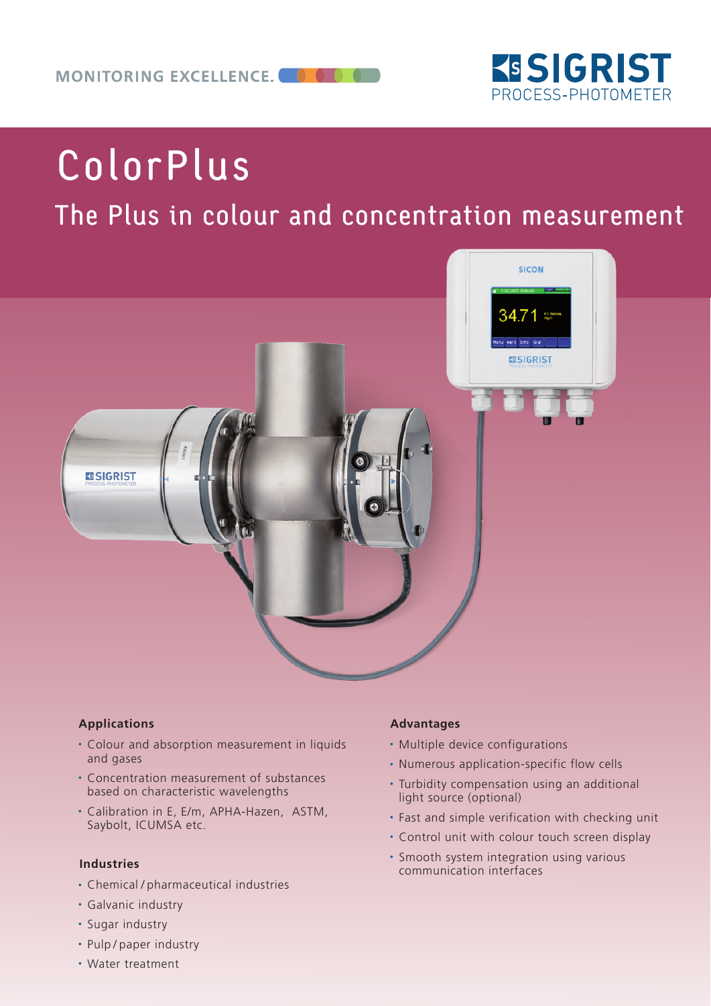

# ColorPlus

## The Plus in colour and concentration measurement



### **Applications**

- Colour and absorption measurement in liquids and gases
- Concentration measurement of substances based on characteristic wavelengths
- Calibration in E, E/m, APHA-Hazen, ASTM, Saybolt, ICUMSA etc.

#### **Industries**

- Chemical / pharmaceutical industries
- Galvanic industry
- Sugar industry
- Pulp / paper industry
- Water treatment

#### **Advantages**

- Multiple device configurations
- Numerous application-specific flow cells
- Turbidity compensation using an additional light source (optional)
- Fast and simple verification with checking unit
- Control unit with colour touch screen display
- Smooth system integration using various communication interfaces